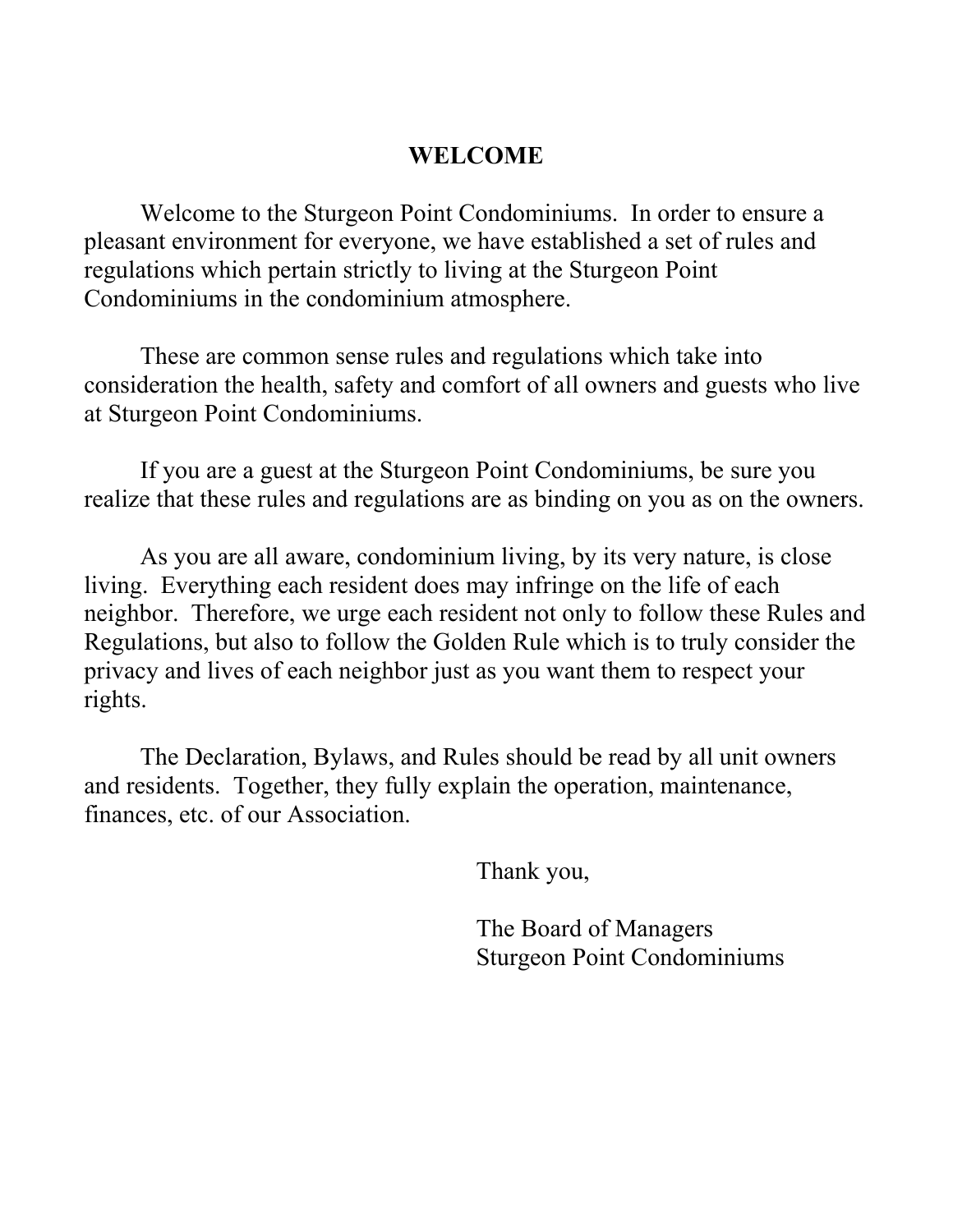## **WELCOME**

Welcome to the Sturgeon Point Condominiums. In order to ensure a pleasant environment for everyone, we have established a set of rules and regulations which pertain strictly to living at the Sturgeon Point Condominiums in the condominium atmosphere.

These are common sense rules and regulations which take into consideration the health, safety and comfort of all owners and guests who live at Sturgeon Point Condominiums.

If you are a guest at the Sturgeon Point Condominiums, be sure you realize that these rules and regulations are as binding on you as on the owners.

As you are all aware, condominium living, by its very nature, is close living. Everything each resident does may infringe on the life of each neighbor. Therefore, we urge each resident not only to follow these Rules and Regulations, but also to follow the Golden Rule which is to truly consider the privacy and lives of each neighbor just as you want them to respect your rights.

The Declaration, Bylaws, and Rules should be read by all unit owners and residents. Together, they fully explain the operation, maintenance, finances, etc. of our Association.

Thank you,

The Board of Managers Sturgeon Point Condominiums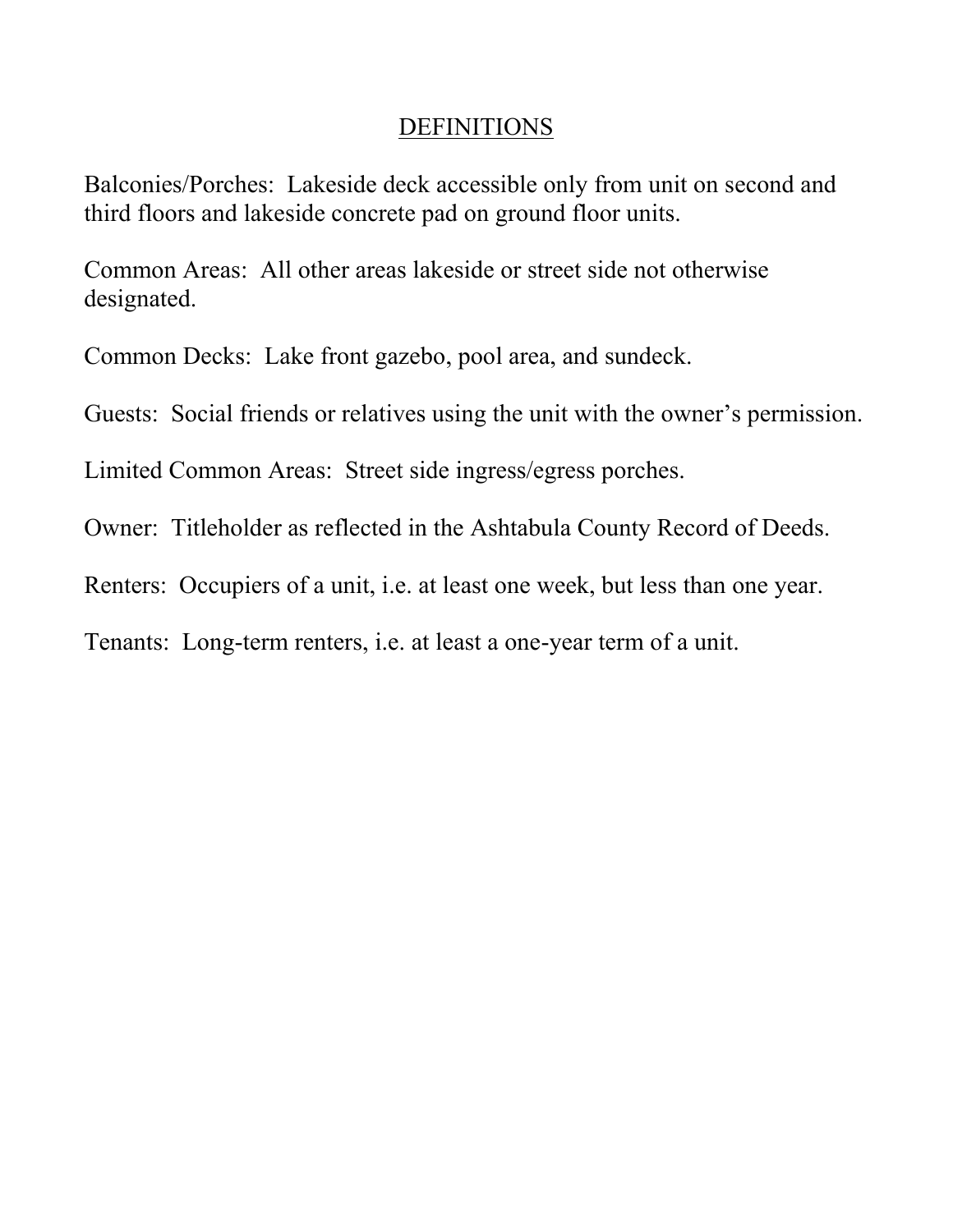### **DEFINITIONS**

Balconies/Porches: Lakeside deck accessible only from unit on second and third floors and lakeside concrete pad on ground floor units.

Common Areas: All other areas lakeside or street side not otherwise designated.

Common Decks: Lake front gazebo, pool area, and sundeck.

Guests: Social friends or relatives using the unit with the owner's permission.

Limited Common Areas: Street side ingress/egress porches.

Owner: Titleholder as reflected in the Ashtabula County Record of Deeds.

Renters: Occupiers of a unit, i.e. at least one week, but less than one year.

Tenants: Long-term renters, i.e. at least a one-year term of a unit.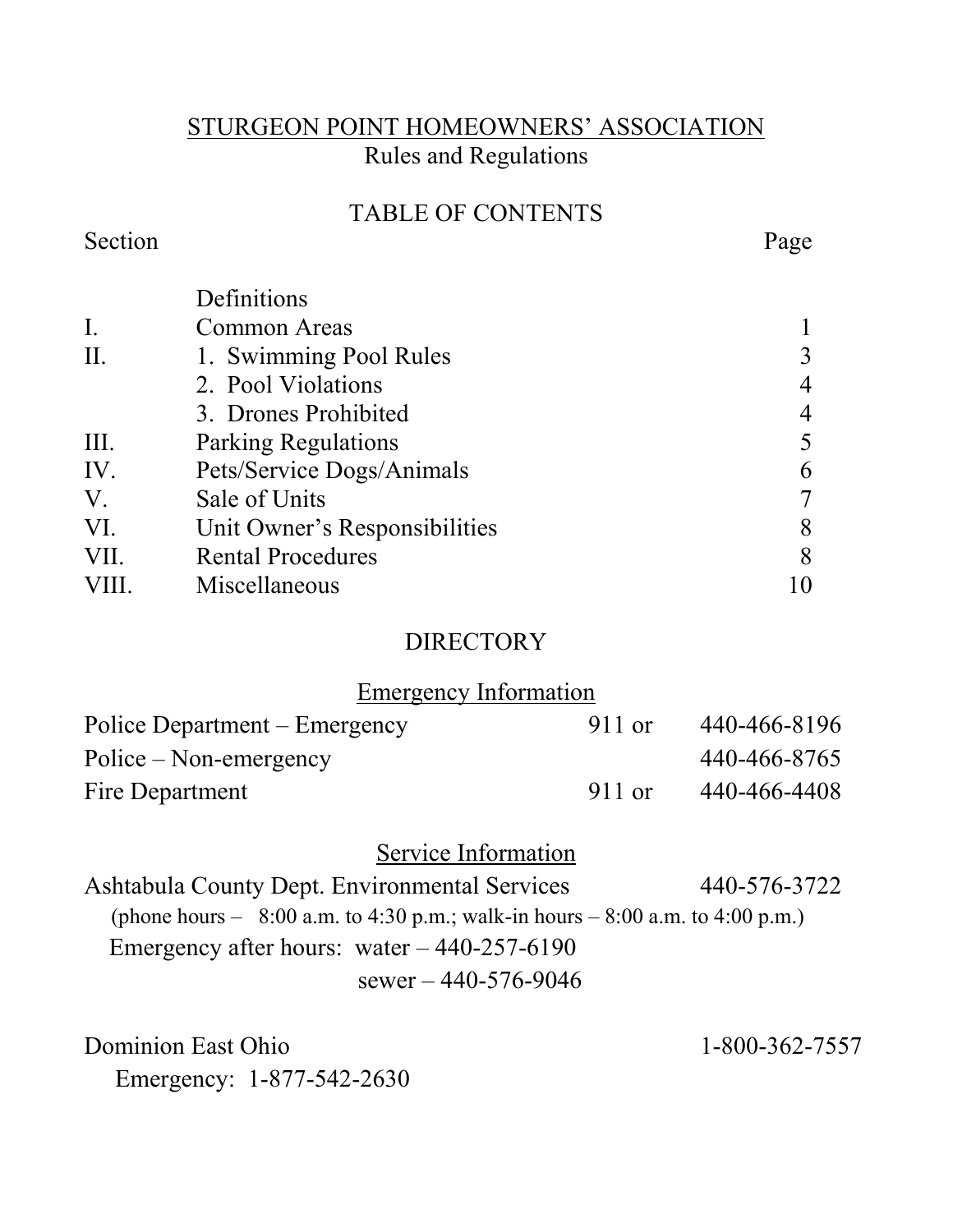## STURGEON POINT HOMEOWNERS' ASSOCIATION Rules and Regulations

## TABLE OF CONTENTS

#### Section Page

|       | Definitions                   |   |
|-------|-------------------------------|---|
| I.    | <b>Common Areas</b>           |   |
| II.   | 1. Swimming Pool Rules        | 3 |
|       | 2. Pool Violations            | 4 |
|       | 3. Drones Prohibited          | 4 |
| Ш.    | <b>Parking Regulations</b>    | 5 |
| IV.   | Pets/Service Dogs/Animals     | 6 |
| V.    | Sale of Units                 | 7 |
| VI.   | Unit Owner's Responsibilities | 8 |
| VII.  | <b>Rental Procedures</b>      | 8 |
| VIII. | Miscellaneous                 |   |
|       |                               |   |

### **DIRECTORY**

Emergency Information

| Police Department – Emergency | 911 or | 440-466-8196 |
|-------------------------------|--------|--------------|
| $Police - Non-emergency$      |        | 440-466-8765 |
| Fire Department               | 911 or | 440-466-4408 |

## Service Information

Ashtabula County Dept. Environmental Services 440-576-3722 (phone hours –  $8:00$  a.m. to 4:30 p.m.; walk-in hours –  $8:00$  a.m. to 4:00 p.m.) Emergency after hours: water – 440-257-6190

sewer – 440-576-9046

Dominion East Ohio 1-800-362-7557 Emergency: 1-877-542-2630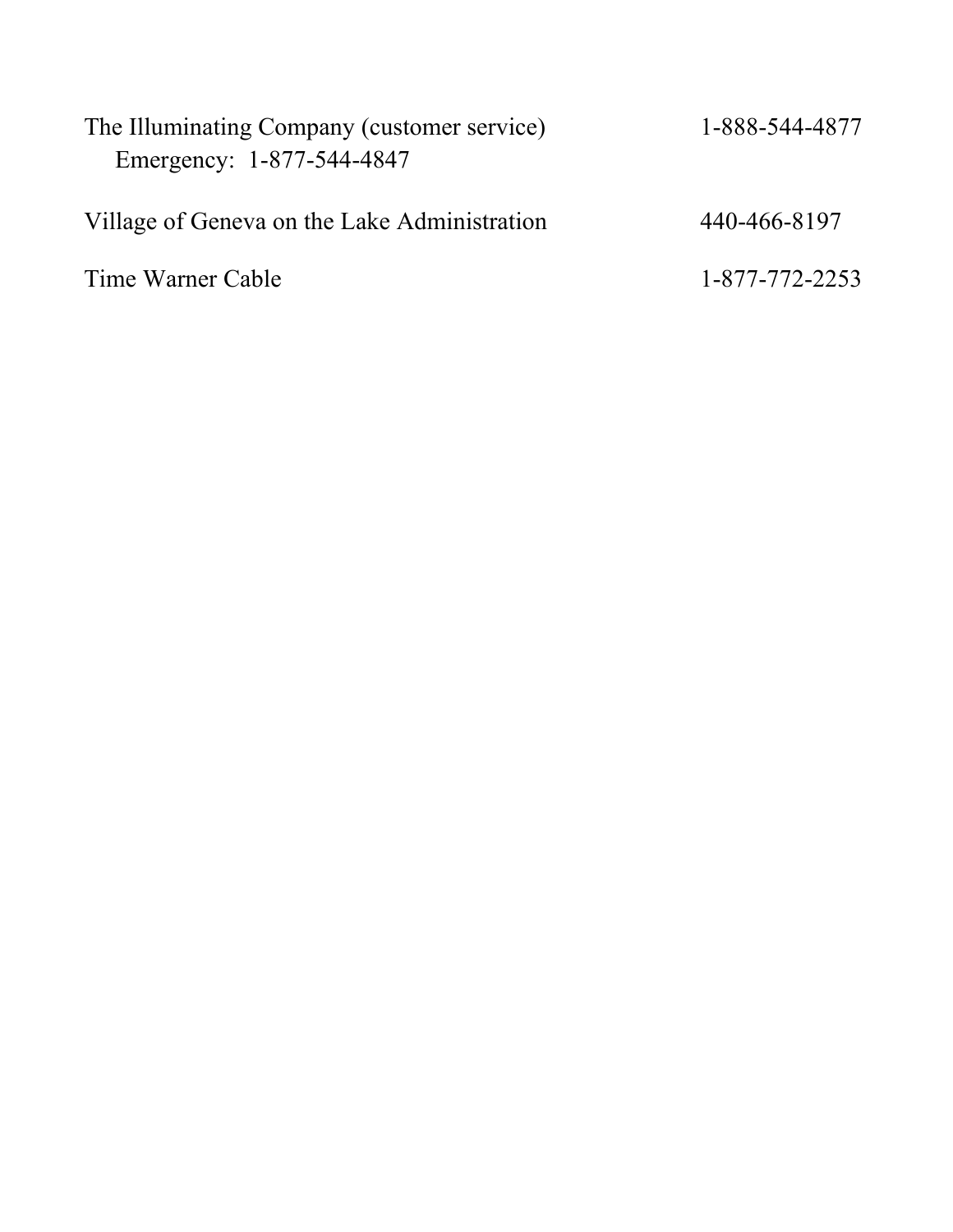| The Illuminating Company (customer service)<br>Emergency: 1-877-544-4847 | 1-888-544-4877 |
|--------------------------------------------------------------------------|----------------|
| Village of Geneva on the Lake Administration                             | 440-466-8197   |
| Time Warner Cable                                                        | 1-877-772-2253 |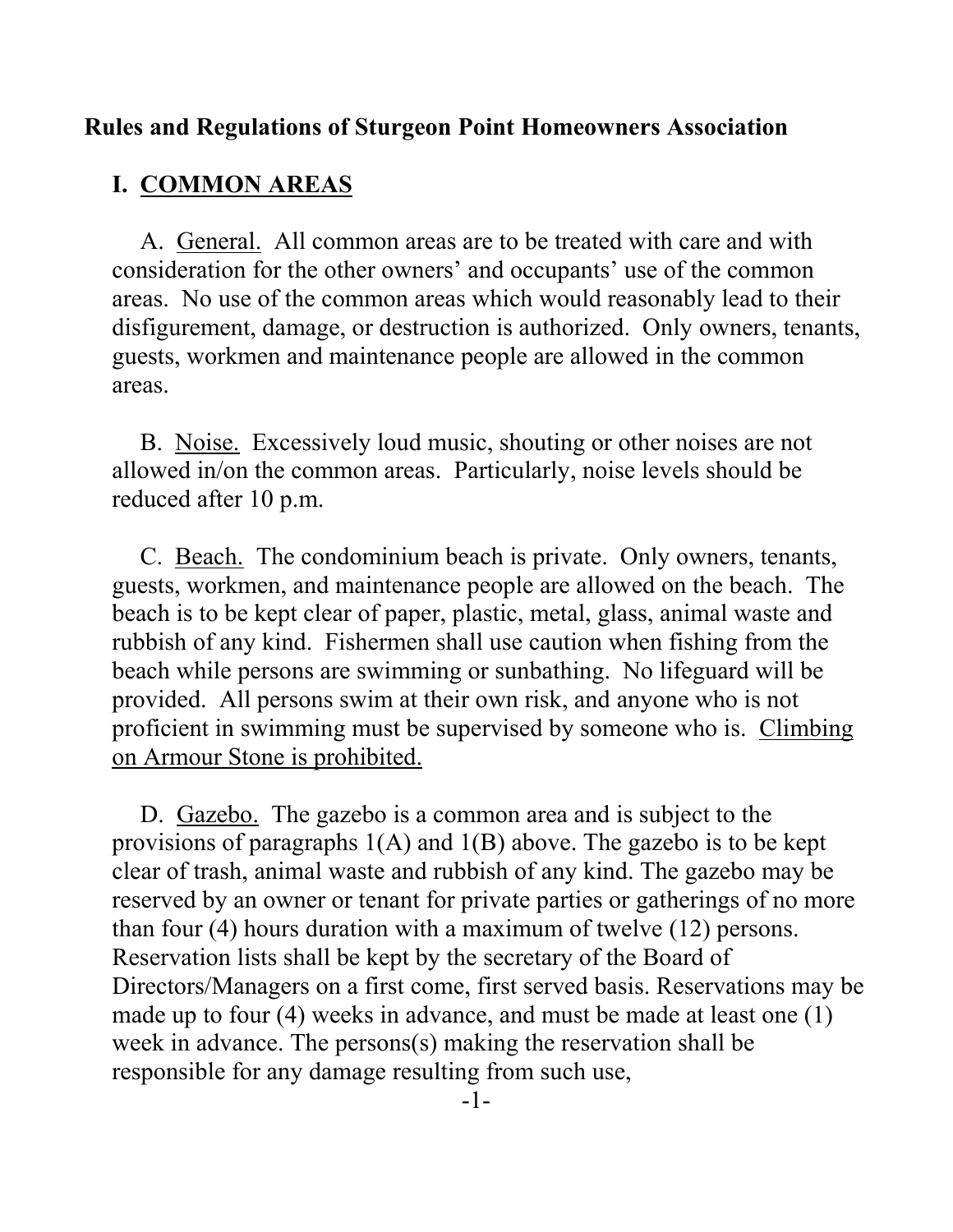### **Rules and Regulations of Sturgeon Point Homeowners Association**

### **I. COMMON AREAS**

A. General. All common areas are to be treated with care and with consideration for the other owners' and occupants' use of the common areas. No use of the common areas which would reasonably lead to their disfigurement, damage, or destruction is authorized. Only owners, tenants, guests, workmen and maintenance people are allowed in the common areas.

B. Noise. Excessively loud music, shouting or other noises are not allowed in/on the common areas. Particularly, noise levels should be reduced after 10 p.m.

C. Beach. The condominium beach is private. Only owners, tenants, guests, workmen, and maintenance people are allowed on the beach. The beach is to be kept clear of paper, plastic, metal, glass, animal waste and rubbish of any kind. Fishermen shall use caution when fishing from the beach while persons are swimming or sunbathing. No lifeguard will be provided. All persons swim at their own risk, and anyone who is not proficient in swimming must be supervised by someone who is. Climbing on Armour Stone is prohibited.

D. Gazebo. The gazebo is a common area and is subject to the provisions of paragraphs 1(A) and 1(B) above. The gazebo is to be kept clear of trash, animal waste and rubbish of any kind. The gazebo may be reserved by an owner or tenant for private parties or gatherings of no more than four (4) hours duration with a maximum of twelve (12) persons. Reservation lists shall be kept by the secretary of the Board of Directors/Managers on a first come, first served basis. Reservations may be made up to four (4) weeks in advance, and must be made at least one (1) week in advance. The persons(s) making the reservation shall be responsible for any damage resulting from such use,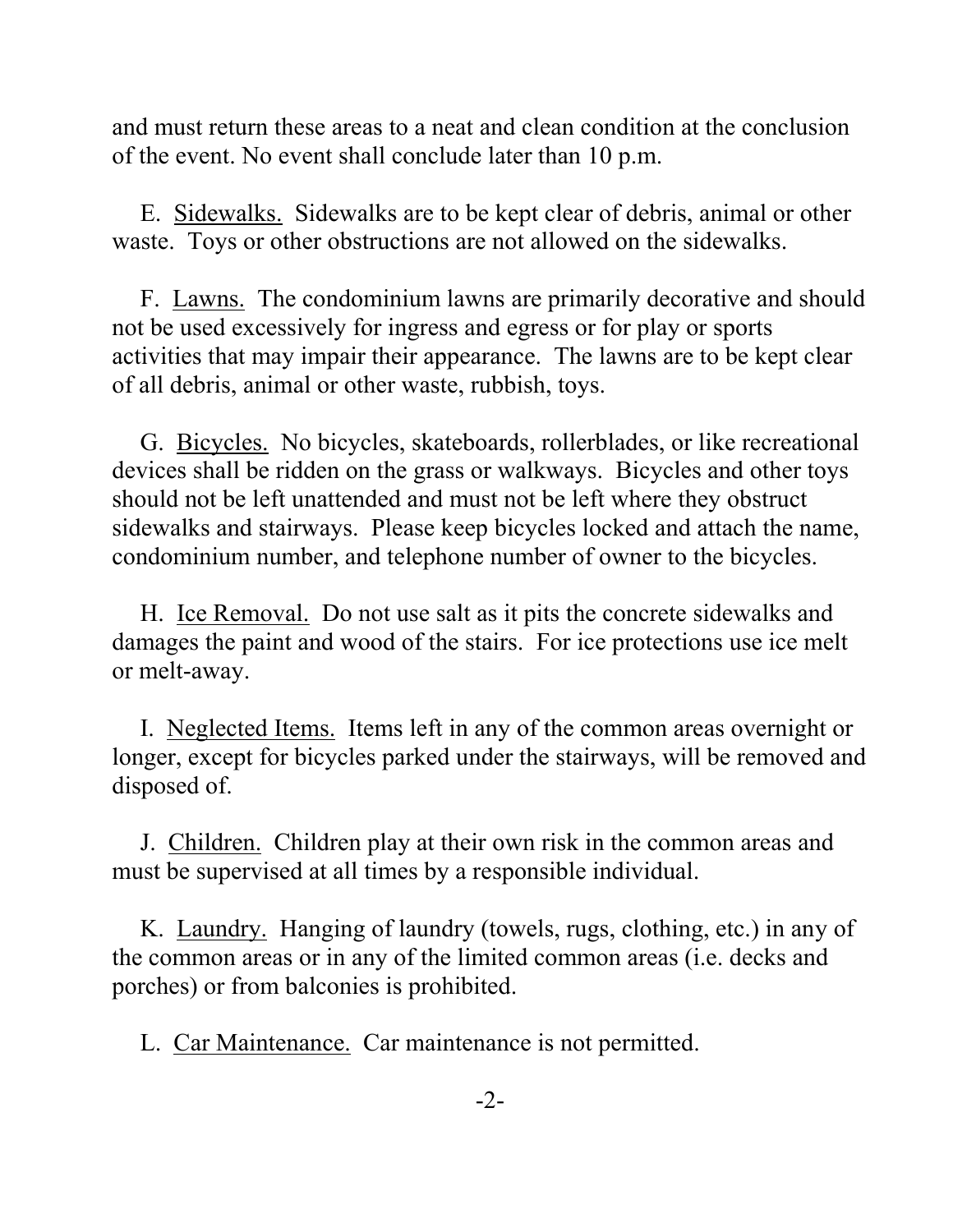and must return these areas to a neat and clean condition at the conclusion of the event. No event shall conclude later than 10 p.m.

E. Sidewalks. Sidewalks are to be kept clear of debris, animal or other waste. Toys or other obstructions are not allowed on the sidewalks.

F. Lawns. The condominium lawns are primarily decorative and should not be used excessively for ingress and egress or for play or sports activities that may impair their appearance. The lawns are to be kept clear of all debris, animal or other waste, rubbish, toys.

G. Bicycles. No bicycles, skateboards, rollerblades, or like recreational devices shall be ridden on the grass or walkways. Bicycles and other toys should not be left unattended and must not be left where they obstruct sidewalks and stairways. Please keep bicycles locked and attach the name, condominium number, and telephone number of owner to the bicycles.

H. Ice Removal. Do not use salt as it pits the concrete sidewalks and damages the paint and wood of the stairs. For ice protections use ice melt or melt-away.

I. Neglected Items. Items left in any of the common areas overnight or longer, except for bicycles parked under the stairways, will be removed and disposed of.

J. Children. Children play at their own risk in the common areas and must be supervised at all times by a responsible individual.

K. Laundry. Hanging of laundry (towels, rugs, clothing, etc.) in any of the common areas or in any of the limited common areas (i.e. decks and porches) or from balconies is prohibited.

L. Car Maintenance. Car maintenance is not permitted.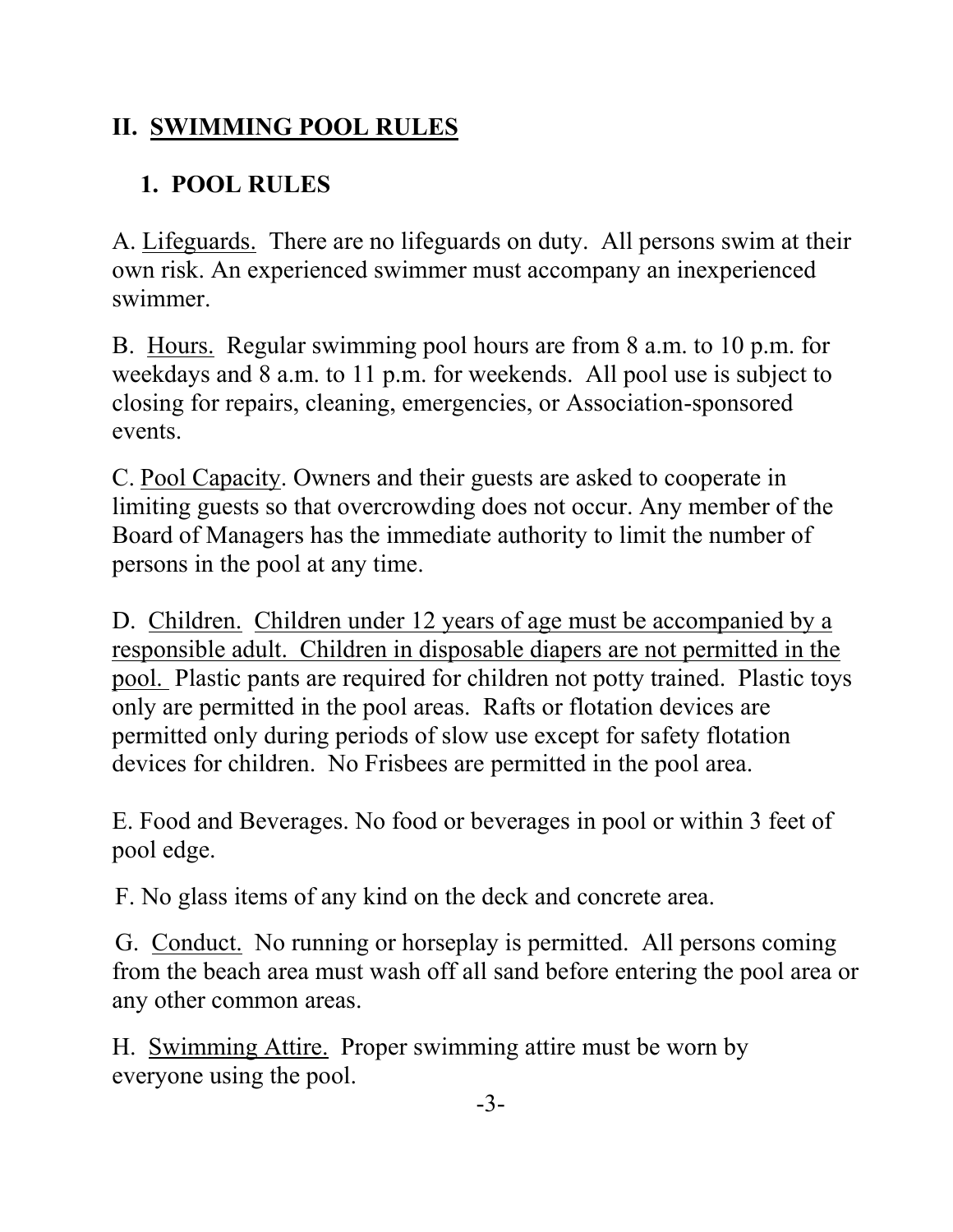# **II. SWIMMING POOL RULES**

# **1. POOL RULES**

A. Lifeguards. There are no lifeguards on duty. All persons swim at their own risk. An experienced swimmer must accompany an inexperienced swimmer.

B. Hours. Regular swimming pool hours are from 8 a.m. to 10 p.m. for weekdays and 8 a.m. to 11 p.m. for weekends. All pool use is subject to closing for repairs, cleaning, emergencies, or Association-sponsored events.

C. Pool Capacity. Owners and their guests are asked to cooperate in limiting guests so that overcrowding does not occur. Any member of the Board of Managers has the immediate authority to limit the number of persons in the pool at any time.

D. Children. Children under 12 years of age must be accompanied by a responsible adult. Children in disposable diapers are not permitted in the pool. Plastic pants are required for children not potty trained. Plastic toys only are permitted in the pool areas. Rafts or flotation devices are permitted only during periods of slow use except for safety flotation devices for children. No Frisbees are permitted in the pool area.

E. Food and Beverages. No food or beverages in pool or within 3 feet of pool edge.

F. No glass items of any kind on the deck and concrete area.

 G. Conduct. No running or horseplay is permitted. All persons coming from the beach area must wash off all sand before entering the pool area or any other common areas.

H. Swimming Attire. Proper swimming attire must be worn by everyone using the pool.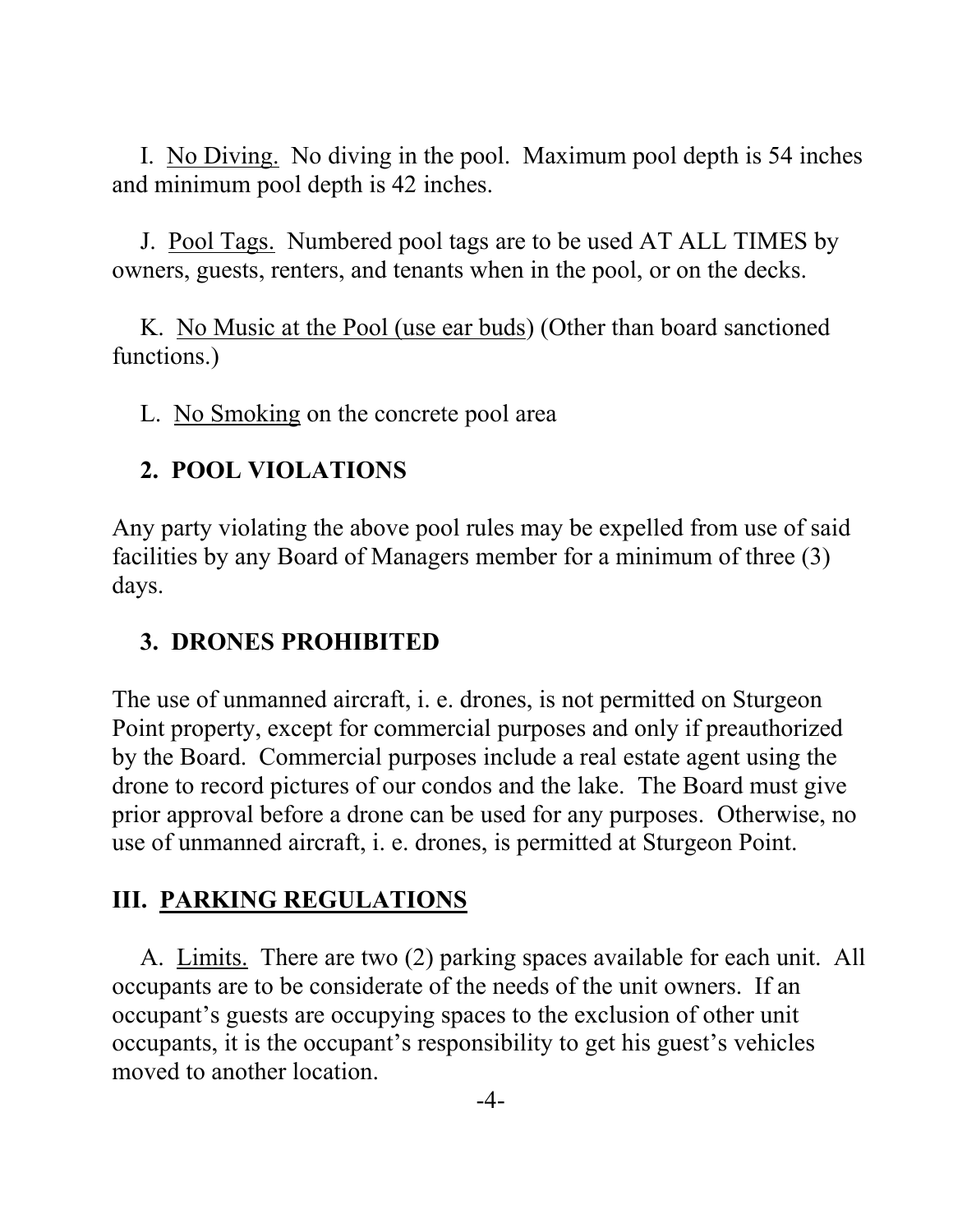I. No Diving. No diving in the pool. Maximum pool depth is 54 inches and minimum pool depth is 42 inches.

J. Pool Tags. Numbered pool tags are to be used AT ALL TIMES by owners, guests, renters, and tenants when in the pool, or on the decks.

K. No Music at the Pool (use ear buds) (Other than board sanctioned functions.)

L. No Smoking on the concrete pool area

# **2. POOL VIOLATIONS**

Any party violating the above pool rules may be expelled from use of said facilities by any Board of Managers member for a minimum of three (3) days.

# **3. DRONES PROHIBITED**

The use of unmanned aircraft, i. e. drones, is not permitted on Sturgeon Point property, except for commercial purposes and only if preauthorized by the Board. Commercial purposes include a real estate agent using the drone to record pictures of our condos and the lake. The Board must give prior approval before a drone can be used for any purposes. Otherwise, no use of unmanned aircraft, i. e. drones, is permitted at Sturgeon Point.

# **III. PARKING REGULATIONS**

A. Limits. There are two (2) parking spaces available for each unit. All occupants are to be considerate of the needs of the unit owners. If an occupant's guests are occupying spaces to the exclusion of other unit occupants, it is the occupant's responsibility to get his guest's vehicles moved to another location.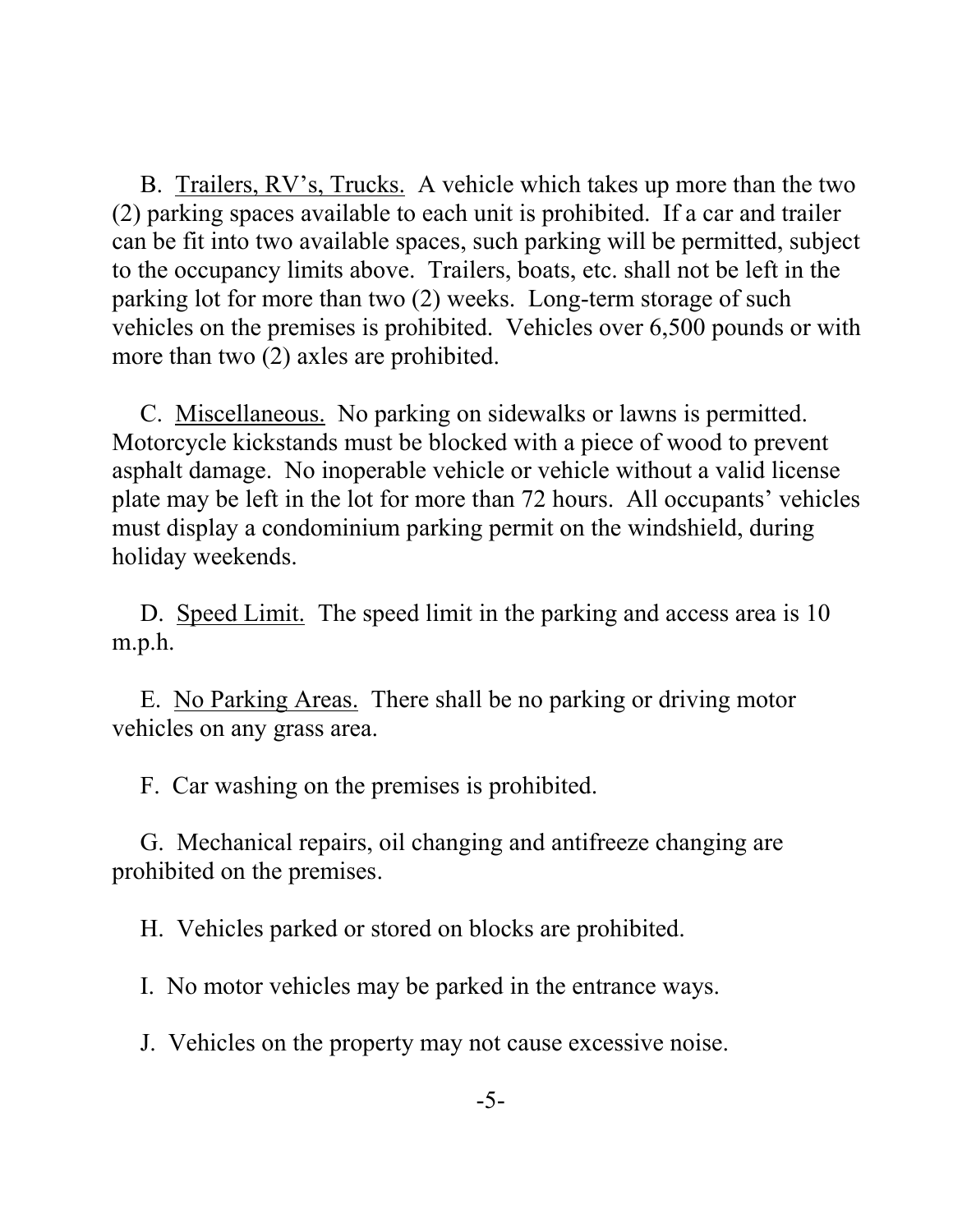B. Trailers, RV's, Trucks. A vehicle which takes up more than the two (2) parking spaces available to each unit is prohibited. If a car and trailer can be fit into two available spaces, such parking will be permitted, subject to the occupancy limits above. Trailers, boats, etc. shall not be left in the parking lot for more than two (2) weeks. Long-term storage of such vehicles on the premises is prohibited. Vehicles over 6,500 pounds or with more than two (2) axles are prohibited.

C. Miscellaneous. No parking on sidewalks or lawns is permitted. Motorcycle kickstands must be blocked with a piece of wood to prevent asphalt damage. No inoperable vehicle or vehicle without a valid license plate may be left in the lot for more than 72 hours. All occupants' vehicles must display a condominium parking permit on the windshield, during holiday weekends.

D. Speed Limit. The speed limit in the parking and access area is 10 m.p.h.

E. No Parking Areas. There shall be no parking or driving motor vehicles on any grass area.

F. Car washing on the premises is prohibited.

G. Mechanical repairs, oil changing and antifreeze changing are prohibited on the premises.

H. Vehicles parked or stored on blocks are prohibited.

I. No motor vehicles may be parked in the entrance ways.

J. Vehicles on the property may not cause excessive noise.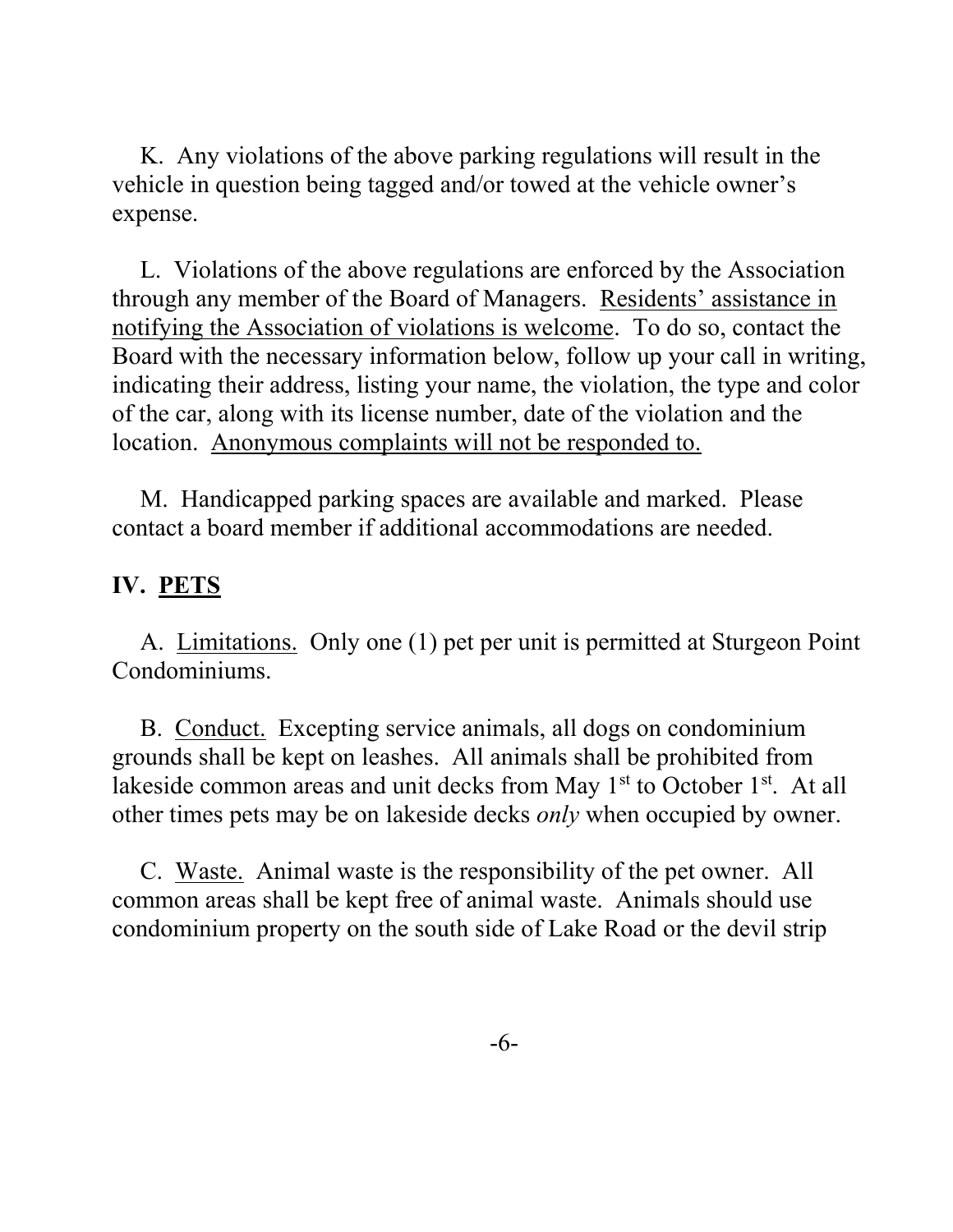K. Any violations of the above parking regulations will result in the vehicle in question being tagged and/or towed at the vehicle owner's expense.

L. Violations of the above regulations are enforced by the Association through any member of the Board of Managers. Residents' assistance in notifying the Association of violations is welcome. To do so, contact the Board with the necessary information below, follow up your call in writing, indicating their address, listing your name, the violation, the type and color of the car, along with its license number, date of the violation and the location. Anonymous complaints will not be responded to.

M. Handicapped parking spaces are available and marked. Please contact a board member if additional accommodations are needed.

## **IV. PETS**

A. Limitations. Only one (1) pet per unit is permitted at Sturgeon Point Condominiums.

B. Conduct. Excepting service animals, all dogs on condominium grounds shall be kept on leashes. All animals shall be prohibited from lakeside common areas and unit decks from May 1<sup>st</sup> to October 1<sup>st</sup>. At all other times pets may be on lakeside decks *only* when occupied by owner.

C. Waste. Animal waste is the responsibility of the pet owner. All common areas shall be kept free of animal waste. Animals should use condominium property on the south side of Lake Road or the devil strip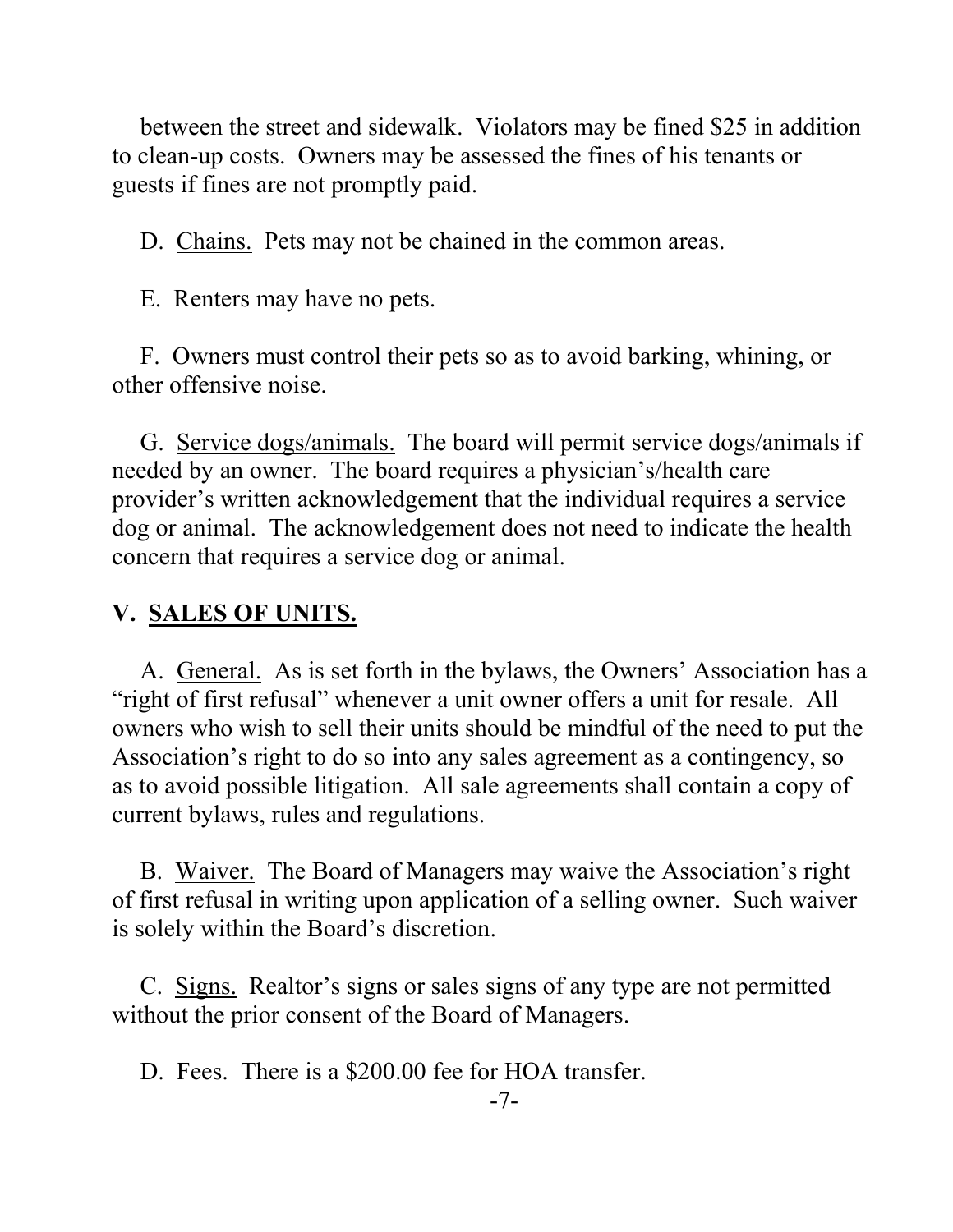between the street and sidewalk. Violators may be fined \$25 in addition to clean-up costs. Owners may be assessed the fines of his tenants or guests if fines are not promptly paid.

D. Chains. Pets may not be chained in the common areas.

E. Renters may have no pets.

F. Owners must control their pets so as to avoid barking, whining, or other offensive noise.

G. Service dogs/animals. The board will permit service dogs/animals if needed by an owner. The board requires a physician's/health care provider's written acknowledgement that the individual requires a service dog or animal. The acknowledgement does not need to indicate the health concern that requires a service dog or animal.

#### **V. SALES OF UNITS.**

A. General. As is set forth in the bylaws, the Owners' Association has a "right of first refusal" whenever a unit owner offers a unit for resale. All owners who wish to sell their units should be mindful of the need to put the Association's right to do so into any sales agreement as a contingency, so as to avoid possible litigation. All sale agreements shall contain a copy of current bylaws, rules and regulations.

B. Waiver. The Board of Managers may waive the Association's right of first refusal in writing upon application of a selling owner. Such waiver is solely within the Board's discretion.

C. Signs. Realtor's signs or sales signs of any type are not permitted without the prior consent of the Board of Managers.

D. Fees. There is a \$200.00 fee for HOA transfer.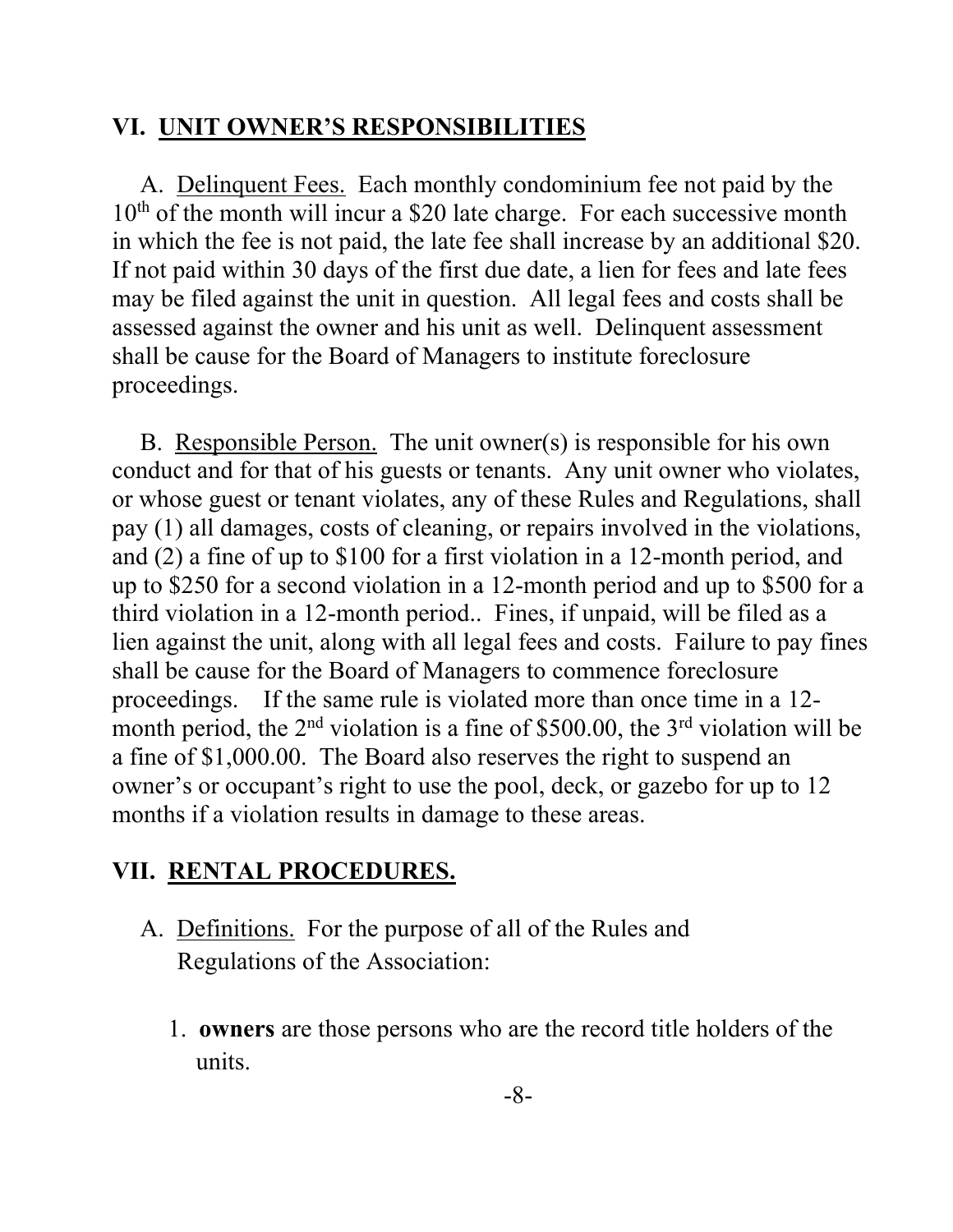## **VI. UNIT OWNER'S RESPONSIBILITIES**

A. Delinquent Fees. Each monthly condominium fee not paid by the  $10<sup>th</sup>$  of the month will incur a \$20 late charge. For each successive month in which the fee is not paid, the late fee shall increase by an additional \$20. If not paid within 30 days of the first due date, a lien for fees and late fees may be filed against the unit in question. All legal fees and costs shall be assessed against the owner and his unit as well. Delinquent assessment shall be cause for the Board of Managers to institute foreclosure proceedings.

B. Responsible Person. The unit owner(s) is responsible for his own conduct and for that of his guests or tenants. Any unit owner who violates, or whose guest or tenant violates, any of these Rules and Regulations, shall pay (1) all damages, costs of cleaning, or repairs involved in the violations, and (2) a fine of up to \$100 for a first violation in a 12-month period, and up to \$250 for a second violation in a 12-month period and up to \$500 for a third violation in a 12-month period.. Fines, if unpaid, will be filed as a lien against the unit, along with all legal fees and costs. Failure to pay fines shall be cause for the Board of Managers to commence foreclosure proceedings. If the same rule is violated more than once time in a 12 month period, the  $2<sup>nd</sup>$  violation is a fine of \$500.00, the  $3<sup>rd</sup>$  violation will be a fine of \$1,000.00. The Board also reserves the right to suspend an owner's or occupant's right to use the pool, deck, or gazebo for up to 12 months if a violation results in damage to these areas.

# **VII. RENTAL PROCEDURES.**

- A. Definitions. For the purpose of all of the Rules and Regulations of the Association:
	- 1. **owners** are those persons who are the record title holders of the units.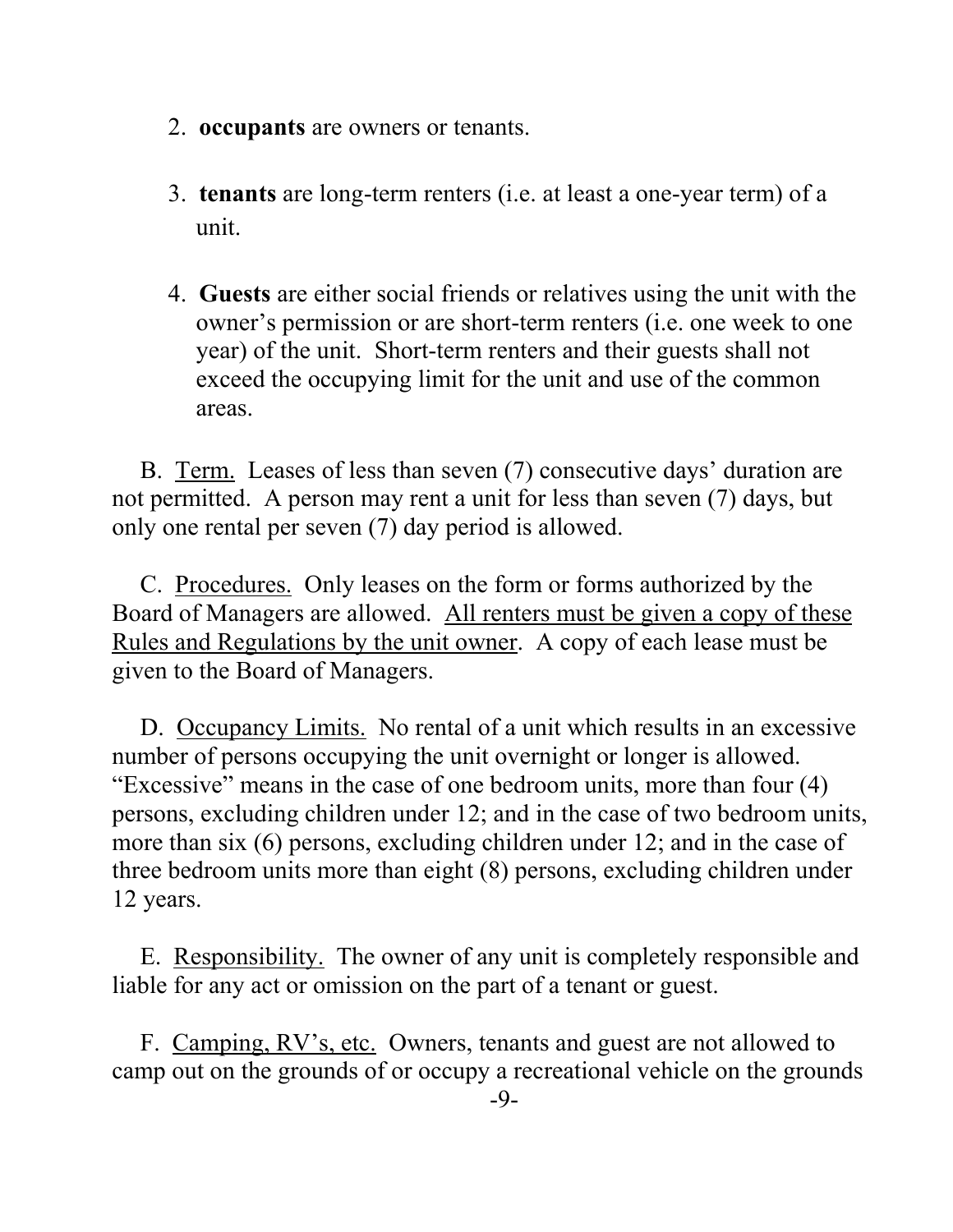- 2. **occupants** are owners or tenants.
- 3. **tenants** are long-term renters (i.e. at least a one-year term) of a unit.
- 4. **Guests** are either social friends or relatives using the unit with the owner's permission or are short-term renters (i.e. one week to one year) of the unit. Short-term renters and their guests shall not exceed the occupying limit for the unit and use of the common areas.

B. Term. Leases of less than seven (7) consecutive days' duration are not permitted. A person may rent a unit for less than seven (7) days, but only one rental per seven (7) day period is allowed.

C. Procedures. Only leases on the form or forms authorized by the Board of Managers are allowed. All renters must be given a copy of these Rules and Regulations by the unit owner. A copy of each lease must be given to the Board of Managers.

D. Occupancy Limits. No rental of a unit which results in an excessive number of persons occupying the unit overnight or longer is allowed. "Excessive" means in the case of one bedroom units, more than four (4) persons, excluding children under 12; and in the case of two bedroom units, more than six (6) persons, excluding children under 12; and in the case of three bedroom units more than eight (8) persons, excluding children under 12 years.

E. Responsibility. The owner of any unit is completely responsible and liable for any act or omission on the part of a tenant or guest.

F. Camping, RV's, etc. Owners, tenants and guest are not allowed to camp out on the grounds of or occupy a recreational vehicle on the grounds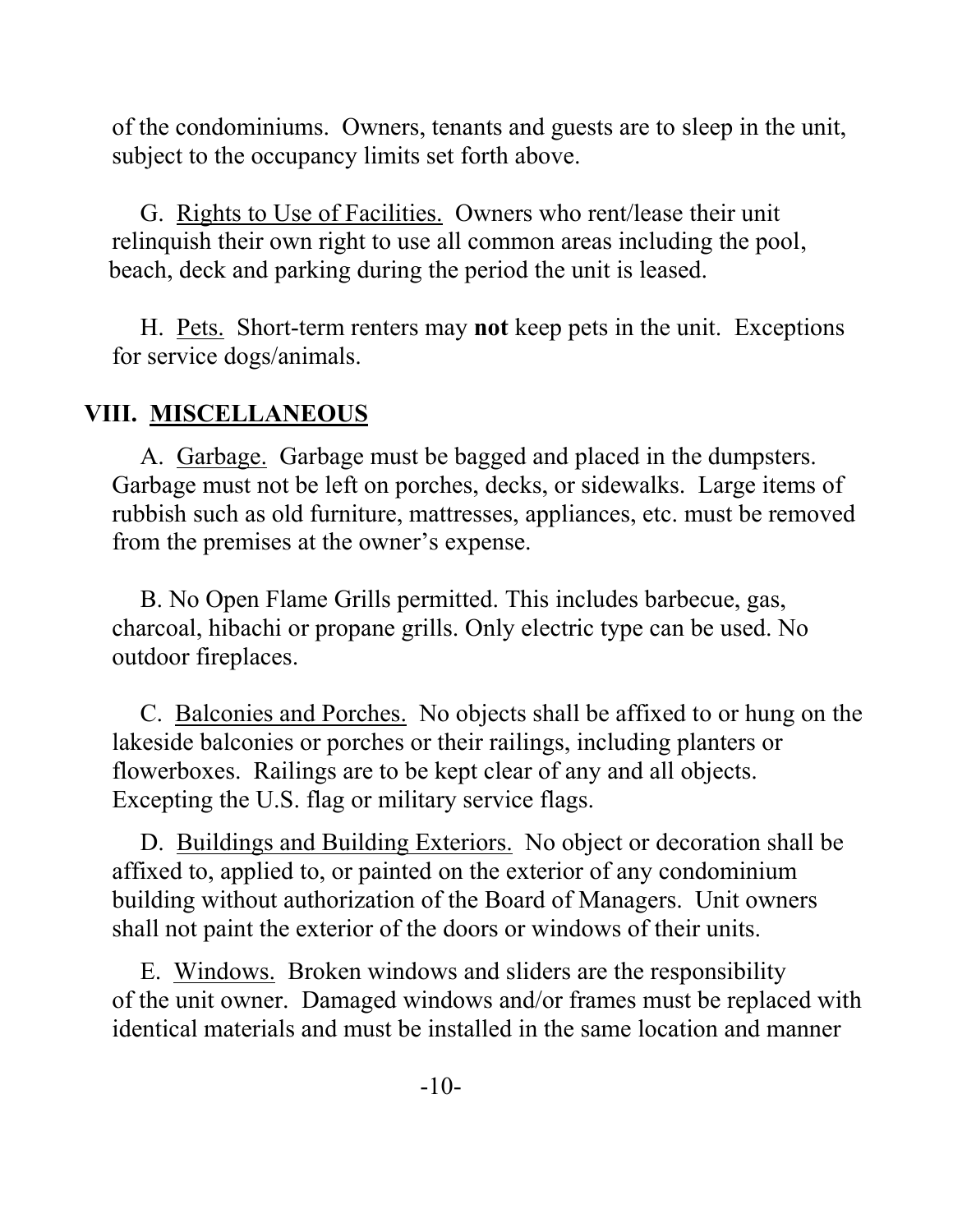of the condominiums. Owners, tenants and guests are to sleep in the unit, subject to the occupancy limits set forth above.

G. Rights to Use of Facilities. Owners who rent/lease their unit relinquish their own right to use all common areas including the pool, beach, deck and parking during the period the unit is leased.

H. Pets. Short-term renters may **not** keep pets in the unit. Exceptions for service dogs/animals.

## **VIII. MISCELLANEOUS**

A. Garbage. Garbage must be bagged and placed in the dumpsters. Garbage must not be left on porches, decks, or sidewalks. Large items of rubbish such as old furniture, mattresses, appliances, etc. must be removed from the premises at the owner's expense.

B. No Open Flame Grills permitted. This includes barbecue, gas, charcoal, hibachi or propane grills. Only electric type can be used. No outdoor fireplaces.

C. Balconies and Porches. No objects shall be affixed to or hung on the lakeside balconies or porches or their railings, including planters or flowerboxes. Railings are to be kept clear of any and all objects. Excepting the U.S. flag or military service flags.

D. Buildings and Building Exteriors. No object or decoration shall be affixed to, applied to, or painted on the exterior of any condominium building without authorization of the Board of Managers. Unit owners shall not paint the exterior of the doors or windows of their units.

E. Windows. Broken windows and sliders are the responsibility of the unit owner. Damaged windows and/or frames must be replaced with identical materials and must be installed in the same location and manner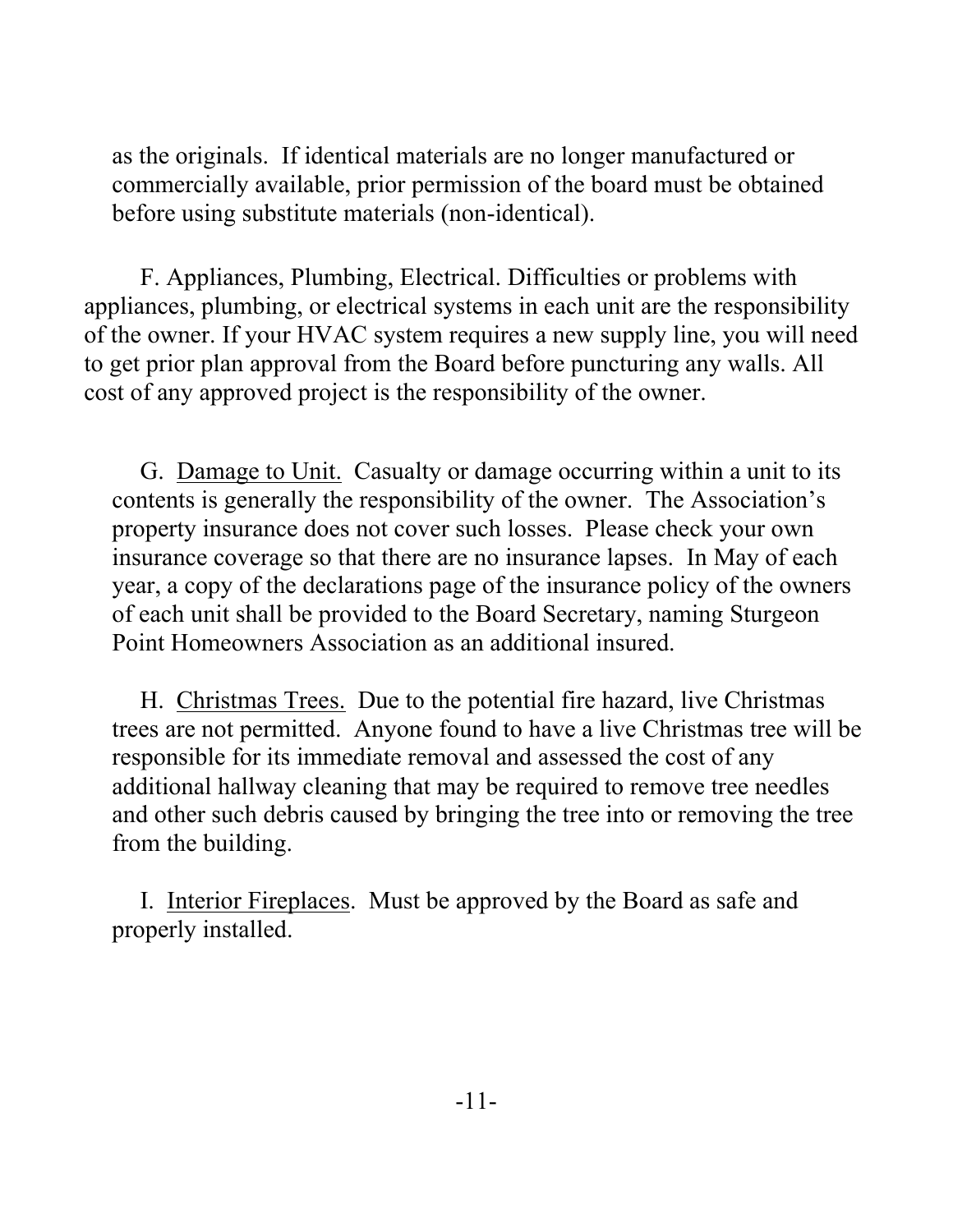as the originals. If identical materials are no longer manufactured or commercially available, prior permission of the board must be obtained before using substitute materials (non-identical).

F. Appliances, Plumbing, Electrical. Difficulties or problems with appliances, plumbing, or electrical systems in each unit are the responsibility of the owner. If your HVAC system requires a new supply line, you will need to get prior plan approval from the Board before puncturing any walls. All cost of any approved project is the responsibility of the owner.

G. Damage to Unit. Casualty or damage occurring within a unit to its contents is generally the responsibility of the owner. The Association's property insurance does not cover such losses. Please check your own insurance coverage so that there are no insurance lapses. In May of each year, a copy of the declarations page of the insurance policy of the owners of each unit shall be provided to the Board Secretary, naming Sturgeon Point Homeowners Association as an additional insured.

H. Christmas Trees. Due to the potential fire hazard, live Christmas trees are not permitted. Anyone found to have a live Christmas tree will be responsible for its immediate removal and assessed the cost of any additional hallway cleaning that may be required to remove tree needles and other such debris caused by bringing the tree into or removing the tree from the building.

I. Interior Fireplaces. Must be approved by the Board as safe and properly installed.